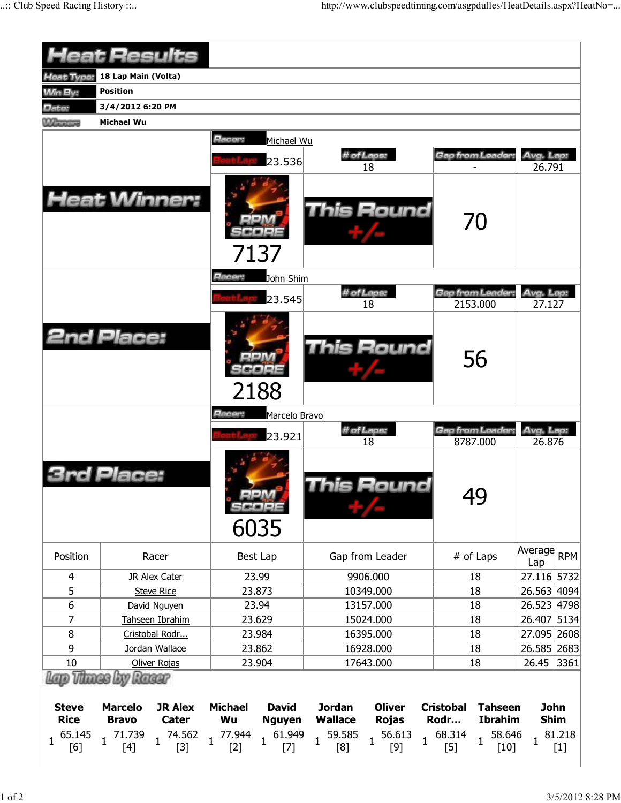| <b>Heat Results</b>           |                     |                       |                       |                        |                            |                                   |                                 |                                                |                     |                 |
|-------------------------------|---------------------|-----------------------|-----------------------|------------------------|----------------------------|-----------------------------------|---------------------------------|------------------------------------------------|---------------------|-----------------|
| Heat Type:                    | 18 Lap Main (Volta) |                       |                       |                        |                            |                                   |                                 |                                                |                     |                 |
| <b>Min By:</b>                | <b>Position</b>     |                       |                       |                        |                            |                                   |                                 |                                                |                     |                 |
|                               | 3/4/2012 6:20 PM    |                       |                       |                        |                            |                                   |                                 |                                                |                     |                 |
| Date:                         | Michael Wu          |                       |                       |                        |                            |                                   |                                 |                                                |                     |                 |
| <b>Winnipeg</b>               |                     |                       |                       |                        |                            |                                   |                                 |                                                |                     |                 |
|                               |                     |                       | Racer:                | Michael Wu             |                            |                                   |                                 |                                                |                     |                 |
|                               |                     |                       |                       | 23.536                 |                            | # of Laps:<br>18                  | Gap from Leader:                |                                                | Avg. Lap:<br>26.791 |                 |
|                               |                     | <b>Heat Winner:</b>   |                       |                        |                            | <b>This Round</b>                 | 70                              |                                                |                     |                 |
|                               |                     |                       | Racer:                | 7137<br>John Shim      |                            |                                   |                                 |                                                |                     |                 |
|                               |                     |                       |                       |                        |                            | # of Laps:                        | Gap from Leader:                |                                                | Avg. Lap:           |                 |
|                               |                     |                       |                       | 23.545                 |                            | 18                                | 2153.000                        |                                                | 27.127              |                 |
| <b>2nd Place:</b>             |                     |                       |                       | 2188                   |                            | <b>This Round</b>                 | 56                              |                                                |                     |                 |
|                               |                     |                       | Racer:                | Marcelo Bravo          |                            |                                   |                                 |                                                |                     |                 |
|                               |                     |                       |                       | 23.921                 |                            | # of Laps:                        | Gap from Leader:                |                                                | Avg. Lap:           |                 |
|                               | Place:              |                       |                       | 6035                   |                            | 18<br>his Round                   | 8787.000<br>49                  |                                                | 26.876              |                 |
| Position                      |                     | Racer                 |                       | Best Lap               |                            | Gap from Leader                   | # of Laps                       |                                                | Average RPM<br>Lap  |                 |
| 4                             |                     | <b>JR Alex Cater</b>  |                       | 23.99                  |                            | 9906.000                          | 18                              |                                                | 27.116 5732         |                 |
| 5                             |                     | <b>Steve Rice</b>     |                       | 23.873                 |                            | 10349.000                         | 18                              |                                                | 26.563 4094         |                 |
| 6                             |                     | David Nguyen          |                       | 23.94                  |                            | 13157.000                         | 18                              |                                                | 26.523 4798         |                 |
| 7                             |                     | Tahseen Ibrahim       |                       | 23.629                 |                            | 15024.000                         | 18                              |                                                | 26.407 5134         |                 |
| 8                             |                     | Cristobal Rodr        |                       | 23.984                 |                            | 16395.000                         | 18                              |                                                | 27.095 2608         |                 |
| 9                             |                     | Jordan Wallace        |                       | 23.862                 |                            | 16928.000                         | 18                              |                                                | 26.585 2683         |                 |
| 10                            |                     | Oliver Rojas          |                       | 23.904                 |                            | 17643.000                         | 18                              |                                                | 26.45               | 3361            |
| Lap Thues by Rueur            |                     |                       |                       |                        |                            |                                   |                                 |                                                |                     |                 |
| <b>Steve</b>                  | <b>Marcelo</b>      | <b>JR Alex</b>        | <b>Michael</b>        | <b>David</b>           | <b>Jordan</b>              | <b>Oliver</b>                     | <b>Cristobal</b>                | <b>Tahseen</b>                                 | <b>John</b>         |                 |
| <b>Rice</b>                   | <b>Bravo</b>        | <b>Cater</b>          | Wu                    | <b>Nguyen</b>          | <b>Wallace</b>             | <b>Rojas</b>                      | Rodr                            | <b>Ibrahim</b>                                 | <b>Shim</b>         |                 |
| 65.145<br>$\mathbf{1}$<br>[6] | 1 71.739<br>$[4]$   | $1^{74.562}$<br>$[3]$ | $1^{77.944}$<br>$[2]$ | $1 \t 61.949$<br>$[7]$ | $1\frac{59.585}{1}$<br>[8] | 56.613<br>$\overline{1}$<br>$[9]$ | 68.314<br>$\mathbf{1}$<br>$[5]$ | 58.646<br>$\overline{1}$<br>$\lceil 10 \rceil$ |                     | 81.218<br>$[1]$ |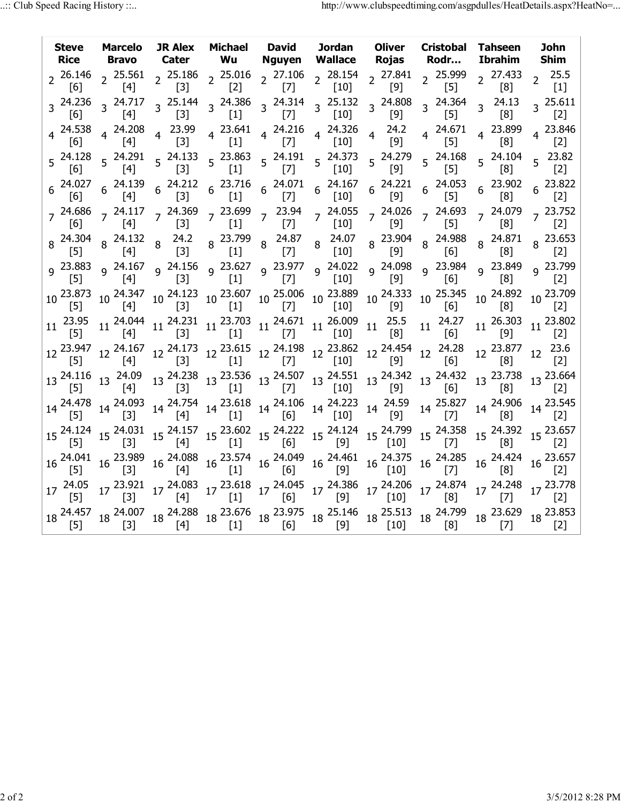|                           | <b>Steve Marcelo</b>                            |                                           |  |                                                                                                                                                                                                                       | JR Alex Michael David Jordan Oliver Cristobal Tahseen<br>Rice Bravo Cater Wu Nguyen Wallace Rojas Rodr                                                                                                                                                                                                                                                                                                                                   | <b>Ibrahim</b>                                                                                                                                                                                                                                                                                                                                                                                             | <b>John</b><br><b>Shim</b>                                                                             |
|---------------------------|-------------------------------------------------|-------------------------------------------|--|-----------------------------------------------------------------------------------------------------------------------------------------------------------------------------------------------------------------------|------------------------------------------------------------------------------------------------------------------------------------------------------------------------------------------------------------------------------------------------------------------------------------------------------------------------------------------------------------------------------------------------------------------------------------------|------------------------------------------------------------------------------------------------------------------------------------------------------------------------------------------------------------------------------------------------------------------------------------------------------------------------------------------------------------------------------------------------------------|--------------------------------------------------------------------------------------------------------|
|                           |                                                 |                                           |  |                                                                                                                                                                                                                       |                                                                                                                                                                                                                                                                                                                                                                                                                                          |                                                                                                                                                                                                                                                                                                                                                                                                            | $2^{25.5}$<br>[1]                                                                                      |
|                           | $3\frac{24.236}{5.2}3\frac{24.717}{5.2}$<br>[4] |                                           |  |                                                                                                                                                                                                                       | 3 <sup>25.144</sup> 3 <sup>24.386</sup> 3 <sup>24.314</sup> 3 <sup>25.132</sup> 3 <sup>24.808</sup> 3 <sup>24.364</sup><br>[3] [1] [7] [10] <sup>3</sup> [9] <sup>24.364</sup>                                                                                                                                                                                                                                                           | $3^{24.13}$<br>[8]                                                                                                                                                                                                                                                                                                                                                                                         | $3^{25.611}$<br>[2]                                                                                    |
|                           |                                                 |                                           |  | 4  24.538  4  24.208  4  23.99  4  23.641  4  24.216  4  24.326  4  24.2<br>[6]  4 $[4]$ 4 $[3]$ 4 $[1]$ 4 $[7]$ 4 $[10]$ 4 $[9]$                                                                                     | $4^{24.671}$<br>[5]                                                                                                                                                                                                                                                                                                                                                                                                                      | 4 23.899<br>[8]                                                                                                                                                                                                                                                                                                                                                                                            | 4 23.846<br>[2]                                                                                        |
|                           |                                                 |                                           |  |                                                                                                                                                                                                                       | 5 <sup>24.128</sup> 5 <sup>24.291</sup> 5 <sup>24.133</sup> 5 <sup>23.863</sup> 5 <sup>24.191</sup> 5 <sup>24.373</sup> 5 <sup>24.279</sup> 5 <sup>24.168</sup><br>[6] 5 <sup>24.1</sup> [3] 5 <sup>23.863</sup> 5 <sup>24.191</sup> 5 <sup>24.373</sup> 5 <sup>24.279</sup> 5 <sup>24.168</sup>                                                                                                                                         | 5 24.104<br>[8]                                                                                                                                                                                                                                                                                                                                                                                            | $5^{23.82}$<br>$\lceil 2 \rceil$                                                                       |
|                           |                                                 |                                           |  |                                                                                                                                                                                                                       |                                                                                                                                                                                                                                                                                                                                                                                                                                          | $\begin{array}{cccccccccccc} 6&24.027&6&24.139&6&24.212&6&23.716&6&24.071&6&24.167&6&24.221&6&24.053&6&23.902\\ \left[ 6\right] &6& \left[ 4\right] &6& \left[ 3\right] &6& \left[ 1\right] &6& \left[ 7\right] &6& \left[ 10\right] &6& \left[ 9\right] &6& \left[ 5\right] &6& \left[ 8\right] \end{array}$                                                                                              | $6^{23.822}$                                                                                           |
|                           |                                                 |                                           |  |                                                                                                                                                                                                                       |                                                                                                                                                                                                                                                                                                                                                                                                                                          |                                                                                                                                                                                                                                                                                                                                                                                                            |                                                                                                        |
|                           |                                                 |                                           |  |                                                                                                                                                                                                                       |                                                                                                                                                                                                                                                                                                                                                                                                                                          |                                                                                                                                                                                                                                                                                                                                                                                                            | 8 23.653                                                                                               |
|                           |                                                 |                                           |  |                                                                                                                                                                                                                       |                                                                                                                                                                                                                                                                                                                                                                                                                                          | 9  23.883  9  24.167  9  24.156  9  23.627  9  23.977  9  24.022  9  24.098  9  23.984  9  23.799  9  23.799<br>[2]  9  [3]  9  [1]  [7]  9  [10]  9  [9]  [6]  9  [8]  9  [2]                                                                                                                                                                                                                             |                                                                                                        |
|                           |                                                 |                                           |  |                                                                                                                                                                                                                       | $10\begin{array}{l} 23.873\\ [5] \end{array} \begin{array}{l} 10\begin{array}{l} 24.347\\ [4] \end{array} \end{array} \begin{array}{l} 10\begin{array}{l} 24.123\\ [3] \end{array} \end{array} \begin{array}{l} 10\begin{array}{l} 23.607\\ [1] \end{array} \end{array} \begin{array}{l} 10\begin{array}{l} 25.006\\ [7] \end{array} \end{array} \begin{array}{l} 10\begin{array}{l} 23.889\\ [10] \end{array} \end{array} \begin{array$ | 10 24.892 10 23.709<br>$\lceil 8 \rceil$                                                                                                                                                                                                                                                                                                                                                                   |                                                                                                        |
|                           |                                                 |                                           |  | $11 \begin{array}{c c c c c c c c} 23.95 & 11 & 24.044 & 11 & 24.231 & 11 & 23.703 & 11 & 24.671 & 11 & 26.009 & 11 & 25.5 \\ \hline [5] & 11 & [4] & [3] & 11 & [1] & 11 & [7] & 11 & [10] & 11 & [8] & \end{array}$ | $11 \begin{array}{c} 24.27 \\ [6] \end{array}$                                                                                                                                                                                                                                                                                                                                                                                           |                                                                                                                                                                                                                                                                                                                                                                                                            | $11 \begin{array}{l} 26.303 \\ [9] \end{array}$ $11 \begin{array}{l} 23.802 \\ [2] \end{array}$<br>[2] |
|                           |                                                 |                                           |  |                                                                                                                                                                                                                       | $12\begin{array}{l} 23.947\\ [5] \end{array} \quad 12\begin{array}{l} 24.167\\ [4] \end{array} \quad 12\begin{array}{l} 24.173\\ [3] \end{array} \quad 12\begin{array}{l} 23.615\\ [1] \end{array} \quad 12\begin{array}{l} 24.198\\ [7] \end{array} \quad 12\begin{array}{l} 23.862\\ [10] \end{array} \quad 12\begin{array}{l} 24.454\\ [9] \end{array} \quad 12\begin{array}{l} 24.28\\ [6] \end{array$                               | 12 <sup>23.877</sup> [8]                                                                                                                                                                                                                                                                                                                                                                                   | $12 \begin{array}{c} 23.6 \\ [2] \end{array}$                                                          |
|                           |                                                 |                                           |  |                                                                                                                                                                                                                       |                                                                                                                                                                                                                                                                                                                                                                                                                                          | $13\begin{array}{l} 24.116\\ [5] \end{array} \quad 13\begin{array}{l} 24.09\\ [4] \end{array} \quad 13\begin{array}{l} 24.238\\ [3] \end{array} \quad 13\begin{array}{l} 23.536\\ [1] \end{array} \quad 13\begin{array}{l} 24.507\\ [7] \end{array} \quad 13\begin{array}{l} 24.551\\ [10] \end{array} \quad 13\begin{array}{l} 24.342\\ [9] \end{array} \quad 13\begin{array}{l} 24.432\\ [6] \end{array$ |                                                                                                        |
|                           |                                                 |                                           |  |                                                                                                                                                                                                                       | $14\begin{array}{l} 24.478 \\ [5] \end{array} \quad 14\begin{array}{l} 24.093 \\ [3] \end{array} \quad 14\begin{array}{l} 24.754 \\ [4] \end{array} \quad 14\begin{array}{l} 23.618 \\ [1] \end{array} \quad 14\begin{array}{l} 24.106 \\ [6] \end{array} \quad 14\begin{array}{l} 24.223 \\ [10] \end{array} \quad 14\begin{array}{l} 24.59 \\ [9] \end{array} \quad 14\begin{array}{l} 25.827 \\ [7] \end{array$                       | $14\begin{array}{l} 24.906 \\ \text{[8]} \end{array}$                                                                                                                                                                                                                                                                                                                                                      | 14 <sup>23.545</sup>                                                                                   |
|                           |                                                 |                                           |  |                                                                                                                                                                                                                       | $15\begin{array}{l} 24.124 \end{array} \quad 15\begin{array}{l} 24.031 \end{array} \quad 15\begin{array}{l} 24.157 \end{array} \quad 15\begin{array}{l} 23.602 \end{array} \quad 15\begin{array}{l} 24.222 \end{array} \quad 15\begin{array}{l} 24.124 \end{array} \quad 15\begin{array}{l} 24.799 \end{array} \quad 15\begin{array}{l} 24.358 \end{array} \quad [7] \end{array}$                                                        |                                                                                                                                                                                                                                                                                                                                                                                                            | 15 <sup>24.392</sup> 15 <sup>23.657</sup>                                                              |
| $16\frac{24.041}{r_{F1}}$ |                                                 | 16 <sup>23.989</sup> 16 <sup>24.088</sup> |  |                                                                                                                                                                                                                       | $16\begin{array}{l} 23.574 \\ \text{[1]} \end{array} \begin{array}{l} 16\begin{array}{l} 24.049 \\ \text{[6]} \end{array} \begin{array}{l} 16\begin{array}{l} 24.461 \\ \text{[9]} \end{array} \begin{array}{l} 16\begin{array}{l} 24.375 \\ \text{[10]} \end{array} \begin{array}{l} 16\begin{array}{l} 24.285 \\ \text{[7]} \end{array} \end{array}$                                                                                   | $16\begin{array}{cc} 24.424 & 16\begin{array}{c} 23.657 \\ 181 \end{array} \end{array}$                                                                                                                                                                                                                                                                                                                    |                                                                                                        |
|                           |                                                 |                                           |  |                                                                                                                                                                                                                       |                                                                                                                                                                                                                                                                                                                                                                                                                                          | $17 \begin{array}{c cccccc} 24.05 & 17 & 23.921 & 17 & 24.083 & 17 & 23.618 & 17 & 24.045 & 17 & 24.386 & 17 & 24.206 & 17 & 24.874 & 17 & 24.248 & 17 & 23.778 \\ \hline [5] & 17 & [3] & [4] & [1] & [1] & [6] & [9] & 17 & [10] & 17 & [8] & 17 & [7] & 17 & [2] \end{array}$                                                                                                                           |                                                                                                        |
|                           |                                                 |                                           |  |                                                                                                                                                                                                                       |                                                                                                                                                                                                                                                                                                                                                                                                                                          | $18\begin{array}{l} 24.457\\ [5] \end{array} \quad 18\begin{array}{l} 24.007\\ [3] \end{array} \quad 18\begin{array}{l} 24.288\\ [4] \end{array} \quad 18\begin{array}{l} 23.676\\ [1] \end{array} \quad 18\begin{array}{l} 23.975\\ [6] \end{array} \quad 18\begin{array}{l} 25.146\\ [9] \end{array} \quad 18\begin{array}{l} 25.513\\ [10] \end{array} \quad 18\begin{array}{l} 24.799\\ [8] \end{$     |                                                                                                        |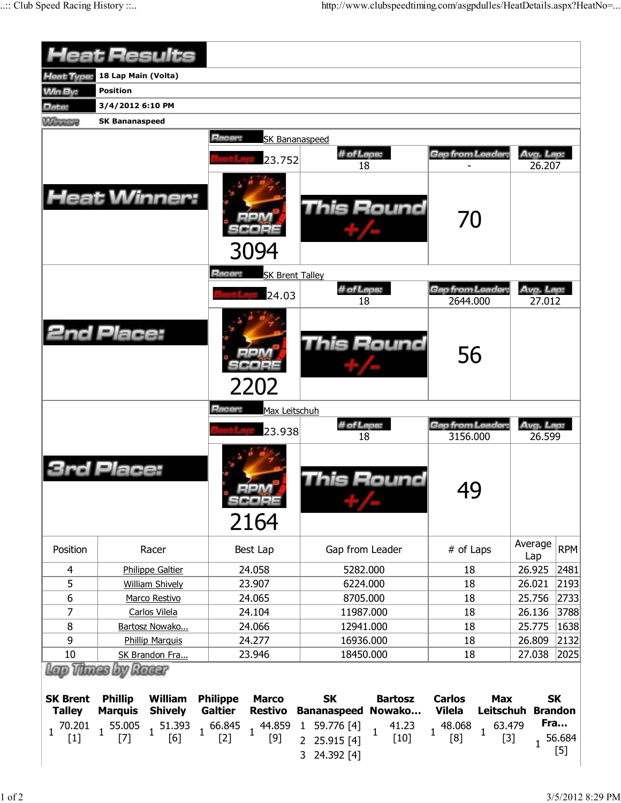|                                  |                                  | <b>Heat Results</b>           |                                   |                                |                                                                                                     |                                 |                                          |                                   |                     |                                    |  |
|----------------------------------|----------------------------------|-------------------------------|-----------------------------------|--------------------------------|-----------------------------------------------------------------------------------------------------|---------------------------------|------------------------------------------|-----------------------------------|---------------------|------------------------------------|--|
| <b>Heat Type:</b>                | 18 Lap Main (Volta)              |                               |                                   |                                |                                                                                                     |                                 |                                          |                                   |                     |                                    |  |
| <b>Win By:</b>                   | <b>Position</b>                  |                               |                                   |                                |                                                                                                     |                                 |                                          |                                   |                     |                                    |  |
| Date:                            | 3/4/2012 6:10 PM                 |                               |                                   |                                |                                                                                                     |                                 |                                          |                                   |                     |                                    |  |
| <b>Williams</b>                  | <b>SK Bananaspeed</b>            |                               |                                   |                                |                                                                                                     |                                 |                                          |                                   |                     |                                    |  |
|                                  |                                  |                               |                                   |                                |                                                                                                     |                                 |                                          |                                   |                     |                                    |  |
|                                  |                                  |                               | Racer:                            |                                | <b>SK Bananaspeed</b>                                                                               |                                 |                                          |                                   |                     |                                    |  |
|                                  |                                  |                               |                                   | 23.752                         | # of Laps:<br>18                                                                                    |                                 | Gap from Leader.                         |                                   | Avg. Lap:<br>26.207 |                                    |  |
|                                  |                                  | <b>Heat Winner:</b>           |                                   | 3094                           |                                                                                                     | This Round                      |                                          |                                   |                     |                                    |  |
|                                  |                                  |                               | Racer:                            | <b>SK Brent Talley</b>         |                                                                                                     |                                 |                                          |                                   |                     |                                    |  |
|                                  |                                  |                               |                                   |                                | # of Laps:                                                                                          |                                 | Gap from Leader:                         |                                   | Avg. Lap:           |                                    |  |
|                                  |                                  |                               |                                   | 24.03                          | 18                                                                                                  |                                 | 2644.000                                 |                                   | 27.012              |                                    |  |
| <b>2nd Place:</b>                |                                  |                               |                                   | 2202                           | <b>This Round</b>                                                                                   |                                 | 56                                       |                                   |                     |                                    |  |
|                                  |                                  |                               | Hacer:                            | Max Leitschuh                  | # of Laps:                                                                                          |                                 |                                          |                                   |                     |                                    |  |
|                                  |                                  |                               |                                   | 23.938                         | 18                                                                                                  |                                 | <b>Gap from Leader:</b><br>3156.000      |                                   | Avg. Lap:<br>26.599 |                                    |  |
|                                  | Place:                           |                               |                                   | $-1 - 1$<br>SCOPE<br>2164      |                                                                                                     | This Round                      | 40<br>J J                                |                                   |                     |                                    |  |
| Position                         |                                  | Racer                         |                                   | Best Lap                       | Gap from Leader                                                                                     |                                 | # of Laps                                |                                   | Average<br>Lap      | <b>RPM</b>                         |  |
| 4                                |                                  | <b>Philippe Galtier</b>       |                                   | 24.058                         | 5282.000                                                                                            |                                 | 18                                       |                                   | 26.925              | 2481                               |  |
| 5                                |                                  | <b>William Shively</b>        |                                   | 23.907                         | 6224.000                                                                                            |                                 | 18                                       |                                   | 26.021              | 2193                               |  |
| 6                                |                                  | Marco Restivo                 |                                   | 24.065                         | 8705.000                                                                                            |                                 | 18                                       |                                   | 25.756              | 2733                               |  |
| 7                                |                                  | Carlos Vilela                 |                                   | 24.104                         | 11987.000                                                                                           |                                 | 18                                       |                                   | 26.136              | 3788                               |  |
| 8                                |                                  | Bartosz Nowako                |                                   | 24.066                         | 12941.000                                                                                           |                                 | 18                                       |                                   | 25.775              | 1638                               |  |
| 9                                |                                  | <b>Phillip Marquis</b>        |                                   | 24.277                         | 16936.000                                                                                           |                                 | 18                                       |                                   | 26.809              | 2132                               |  |
| 10                               |                                  | SK Brandon Fra                |                                   | 23.946                         | 18450.000                                                                                           |                                 | 18                                       |                                   | 27.038              | 2025                               |  |
| lap Vitnes by Raeer              |                                  |                               |                                   |                                |                                                                                                     |                                 |                                          |                                   |                     |                                    |  |
| <b>SK Brent</b><br><b>Talley</b> | <b>Phillip</b><br><b>Marquis</b> | William<br><b>Shively</b>     | <b>Philippe</b><br><b>Galtier</b> | <b>Marco</b><br><b>Restivo</b> | <b>SK</b><br><b>Bananaspeed</b>                                                                     | <b>Bartosz</b><br>Nowako        | <b>Carlos</b><br><b>Vilela</b><br>48.068 | <b>Max</b><br>Leitschuh<br>63.479 |                     | <b>SK</b><br><b>Brandon</b><br>Fra |  |
| 70.201<br>$\mathbf{1}$<br>$[1]$  | $1^{55.005}$<br>$[7]$            | 51.393<br>$\mathbf{1}$<br>[6] | $1^{66.845}$<br>$[2]$             | $[9]$                          | $1 \begin{bmatrix} 44.859 & 1 & 59.776 \\ 1 & 53 & 1 \end{bmatrix}$<br>2 25.915 [4]<br>3 24.392 [4] | 41.23<br>$\mathbf{1}$<br>$[10]$ | $\mathbf{1}$<br>[8]                      | $\mathbf{1}$<br>$[3]$             | $\mathbf{1}$        | 56.684<br>$[5]$                    |  |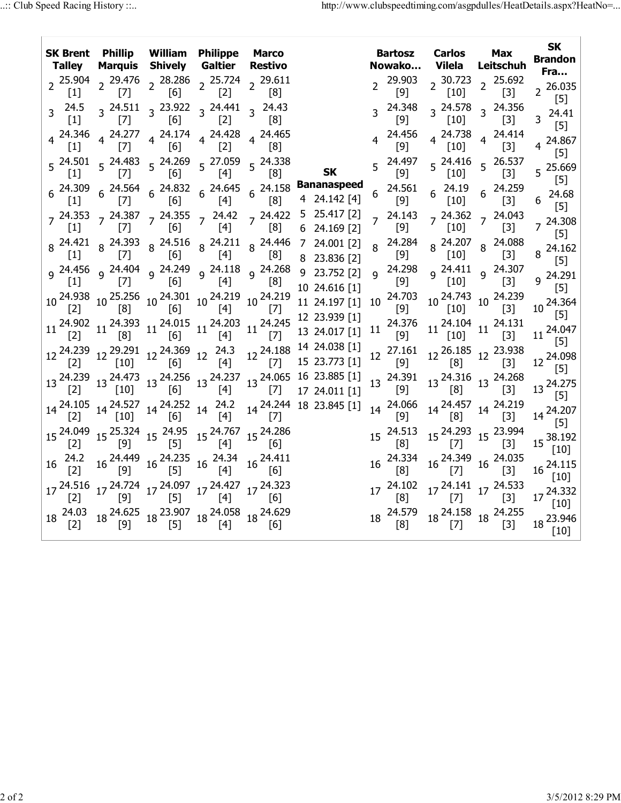| SK Brent Phillip William Philippe Marco<br>Talley                                                                                                                                                                                                                                                                                                              |       |                                   | <b>Marquis Shively Galtier</b>                                | <b>Restivo</b>        |                                                                                                                                                                                                                                                                                                                                                                                                                             | <b>Bartosz</b><br>Nowako Vilela                                                                                                                                                                                                                                     | <b>Carlos</b>                                                                                                                                                                     | <b>Max</b><br>Leitschuh | <b>SK</b><br><b>Brandon</b><br>Fra… |  |
|----------------------------------------------------------------------------------------------------------------------------------------------------------------------------------------------------------------------------------------------------------------------------------------------------------------------------------------------------------------|-------|-----------------------------------|---------------------------------------------------------------|-----------------------|-----------------------------------------------------------------------------------------------------------------------------------------------------------------------------------------------------------------------------------------------------------------------------------------------------------------------------------------------------------------------------------------------------------------------------|---------------------------------------------------------------------------------------------------------------------------------------------------------------------------------------------------------------------------------------------------------------------|-----------------------------------------------------------------------------------------------------------------------------------------------------------------------------------|-------------------------|-------------------------------------|--|
| 2  25.904  2  29.476  2  28.286  2  25.724  2  29.611<br>[1]  2  [7]  2  [6]  2  [2]  2  [8]<br>$[1]$                                                                                                                                                                                                                                                          |       |                                   |                                                               |                       |                                                                                                                                                                                                                                                                                                                                                                                                                             | 29.903<br>[9]                                                                                                                                                                                                                                                       | 2 30.723 2 25.692<br>[10] 2 [3]                                                                                                                                                   |                         | $2^{26.035}$<br>$[5]$               |  |
| 3 24.5 3 24.511 3 23.922 3 24.441 3 24.43<br>$\lceil 1 \rceil$                                                                                                                                                                                                                                                                                                 | [7]   | $\begin{bmatrix} 6 \end{bmatrix}$ | $\begin{bmatrix} 2 \end{bmatrix}$                             | ାଧା                   |                                                                                                                                                                                                                                                                                                                                                                                                                             | $3^{24.348}$<br>[9]                                                                                                                                                                                                                                                 | $3\begin{array}{@{}c@{\hspace{1em}}c@{\hspace{1em}}l} 24.578 & 3\end{array}$ 24.356<br>[10]                                                                                       | [3]                     | $3^{24.41}$<br>$[5]$                |  |
| 4 <sup>24.346</sup> 4 <sup>24.277</sup> 4 <sup>24.174</sup> 4 <sup>24.428</sup><br>[1] [7] [6] 4 <sup>24.428</sup>                                                                                                                                                                                                                                             |       |                                   |                                                               | 4 24.465<br>181       |                                                                                                                                                                                                                                                                                                                                                                                                                             | $4^{24.456}$<br>[9]                                                                                                                                                                                                                                                 | $4\begin{array}{l} 24.738 \\ 1.101 \end{array}$ 4 24.414<br>$\lceil 10 \rceil$                                                                                                    | $[3]$                   | 4 24.867<br>$[5]$                   |  |
| $5\begin{array}{cc} 24.501 & 5\end{array}$ $5\begin{array}{cc} 24.483 & 5\end{array}$ $5\begin{array}{cc} 24.269 & 5\end{array}$ $5\begin{array}{cc} 27.059 & 5\end{array}$ $5\begin{array}{cc} 24.338 & 5\end{array}$<br> 1                                                                                                                                   | I     | [6]                               | [4]                                                           | [8]                   | <b>SK</b>                                                                                                                                                                                                                                                                                                                                                                                                                   | $5^{24.497}$<br>$[9]$                                                                                                                                                                                                                                               | $5\frac{24.416}{5}$ 5 26.537<br>$[10]$                                                                                                                                            | $[3]$                   | 5 25.669<br>$[5]$                   |  |
|                                                                                                                                                                                                                                                                                                                                                                |       |                                   |                                                               |                       | 6 $^{24.309}$ 6 $^{24.564}$ 6 $^{24.832}$ 6 $^{24.645}$ 6 $^{24.158}$ Bananaspeed<br>[1] 6 [7] 6 [6] 6 [4] 6 [8] 4 24.142 [4]                                                                                                                                                                                                                                                                                               | $\begin{array}{cc} 6 & 24.561 \\ & [9] \end{array}$                                                                                                                                                                                                                 | $6\quad \begin{array}{cc} 24.19 & 6 & 24.259 \\ \begin{bmatrix} 10 \end{bmatrix} & 6 & \begin{bmatrix} 3 \end{bmatrix} \end{array}$                                               |                         | 24.68<br>[5]                        |  |
|                                                                                                                                                                                                                                                                                                                                                                |       |                                   |                                                               |                       | 7 <sup>24.353</sup> 7 <sup>24.387</sup> 7 <sup>24.355</sup> 7 <sup>24.42</sup> 7 <sup>24.422</sup> 5 <sup>25.417</sup> <sup>[2]</sup><br>[1] 7 <sup>24</sup> .357 7 <sup>24.355</sup> 7 <sup>24.42</sup> 7 <sup>24.422</sup> 5 <sup>25.417</sup> <sup>[2]</sup>                                                                                                                                                             | $7^{24.143}$<br>[9]                                                                                                                                                                                                                                                 | $7 \begin{array}{cc} 24.362 & 7 \end{array}$ 24.043<br>$[10]$                                                                                                                     | $[3]$                   | $7^{24.308}$<br>$[5]$               |  |
| $\lceil 1 \rceil$                                                                                                                                                                                                                                                                                                                                              | $[7]$ | [6]                               | $[4]$                                                         | [8]                   | $8\begin{array}{c ccccc}\n 8 & 24.421 & 8 & 24.393 & 8 & 24.516 & 8 & 24.211 & 8 & 24.446 & 7 & 24.001 & 21 \\  11 & 8 & 171 & 8 & 161 & 8 & 141 & 8 & 181 & 8 & 22 & 22 & 22\n\end{array}$<br>8 23.836 [2]                                                                                                                                                                                                                 | 8 24.284<br>[9]                                                                                                                                                                                                                                                     | 8 24.207 8 24.088<br>$[10]$                                                                                                                                                       | $[3]$                   | 8 24.162<br>$[5]$                   |  |
| 111                                                                                                                                                                                                                                                                                                                                                            | I     | 6                                 | [4]                                                           | [8]                   | 9 24.456 9 24.404 9 24.249 9 24.118 9 24.268 9 23.752 [2]<br>10 24.616 [1]                                                                                                                                                                                                                                                                                                                                                  | 9 24.298<br>[9]                                                                                                                                                                                                                                                     | $9^{24.411}$ $9^{24.307}$<br>$[10]$                                                                                                                                               | $[3]$                   | $9^{24.291}$<br>[5]                 |  |
| 10 <sup>24.938</sup> 10 <sup>25.256</sup> 10 <sup>24.301</sup> 10 <sup>24.219</sup> 10 <sup>24.219</sup> [2]                                                                                                                                                                                                                                                   |       |                                   |                                                               |                       | 11 24.197 [1]                                                                                                                                                                                                                                                                                                                                                                                                               | 10 24.703<br>$[9]$                                                                                                                                                                                                                                                  | 10 <sup>24.743</sup> 10 <sup>24.239</sup><br>[10] <sup>10</sup> [3]                                                                                                               | $[3]$                   | 10 24.364<br>[5]                    |  |
|                                                                                                                                                                                                                                                                                                                                                                |       |                                   |                                                               |                       | $11 \begin{array}{c ccccc} 24.902 & 11 & 24.393 & 11 & 24.015 & 11 & 24.203 & 12 & 24.245 & 12 & 23.939 & [1] \\ \hline [2] & & [8] & & [6] & & [4] & & [7] & 13 & 24.017 & [1] \\ \end{array}$                                                                                                                                                                                                                             | 11 24.376<br>[9]<br>[9]                                                                                                                                                                                                                                             | $11 \begin{array}{l} 24.104 \\ \begin{bmatrix} 10 \end{bmatrix} \end{array} \begin{array}{l} 11 \end{array} \begin{array}{l} 24.131 \\ \begin{bmatrix} 3 \end{array} \end{array}$ |                         | $11^{24.047}$<br>[5]                |  |
|                                                                                                                                                                                                                                                                                                                                                                |       |                                   |                                                               |                       | $12\, \begin{array}{cccccc} 24.239 & 12\, \begin{array}{cccccc} 29.291 & 12\, \begin{array}{cccccc} 24.369 & 12\, \end{array} & 24.3 & 12\, \begin{array}{cccccc} 24.188 & 14\, \begin{array}{cccccc} 24.038 & [1]\end{array} \end{array} \\ \hline \end{array} \\ \begin{array}{cccccc} [2]\end{array} & 12\, \begin{array}{cccccc} [10]\end{array} & 12\, \begin{array}{cccccc} 24.36 & 12\, \begin{array}{cccccc} 24.18$ | 12 27.161 12 26.185 12 23.938<br>$\lceil 9 \rceil$                                                                                                                                                                                                                  | [8]                                                                                                                                                                               | $[3]$                   | 12 24.098<br>[5]                    |  |
| $[2]$                                                                                                                                                                                                                                                                                                                                                          | [10]  | [6]                               | $[4]$                                                         |                       | 13 24.239 13 24.473 13 24.256 13 24.237 13 24.065 16 23.885 [1]<br>$[7]$ 17 24.011 [1]                                                                                                                                                                                                                                                                                                                                      | $13\begin{array}{c} 24.391\\ 13\end{array}$ $13\begin{array}{c} 24.316\\ 13\end{array}$ $13\begin{array}{c} 24.268\\ 13\end{array}$<br>$\lceil 9 \rceil$                                                                                                            | $\lceil 8 \rceil$                                                                                                                                                                 | $[3]$                   | 13 24.275<br>$[5]$                  |  |
| 14 <sup>24.105</sup> 14 <sup>24.527</sup> 14 <sup>24.252</sup> 14 <sup>24.2</sup><br>[2] 14 [10] 14 [6] 14 [4]                                                                                                                                                                                                                                                 |       |                                   |                                                               | $\vert \Lambda \vert$ | 14 24.244 18 23.845 [1]                                                                                                                                                                                                                                                                                                                                                                                                     | 14  24.066  14  24.457  14  24.219<br>[9]  14  [8]  14  [3]                                                                                                                                                                                                         |                                                                                                                                                                                   |                         | 14 24.207<br>[5]                    |  |
| 15 <sup>24.049</sup> 15 <sup>25.324</sup> 15 <sup>24.95</sup> 15 <sup>24.767</sup> 15 <sup>24.286</sup><br>[2] [9] <sup>15</sup> [5] [4] <sup>15</sup> [6]                                                                                                                                                                                                     |       |                                   |                                                               |                       |                                                                                                                                                                                                                                                                                                                                                                                                                             | 15 24.513 15 24.293 15 23.994<br>[8] 15 [7] 15 [3]                                                                                                                                                                                                                  |                                                                                                                                                                                   |                         | 15 38.192<br>[10]                   |  |
| $16\frac{24.2}{12}$                                                                                                                                                                                                                                                                                                                                            |       |                                   | 16 <sup>24.449</sup> 16 <sup>24.235</sup> 16 <sup>24.34</sup> | 16 24.411<br> 6       |                                                                                                                                                                                                                                                                                                                                                                                                                             | 16 24.334<br>[8]                                                                                                                                                                                                                                                    | 16 24.349 16 24.035<br>[7] 16 [3]                                                                                                                                                 |                         | $16\frac{24.115}{ }$<br>[10]        |  |
| 17 <sup>24.516</sup> 17 <sup>24.724</sup> 17 <sup>24.097</sup> 17 <sup>24.427</sup> 17 <sup>24.323</sup>                                                                                                                                                                                                                                                       |       |                                   |                                                               |                       |                                                                                                                                                                                                                                                                                                                                                                                                                             | 17 <sup>24.102</sup> 17 <sup>24.141</sup> 17 <sup>24.533</sup><br>[8] <sup>17</sup> <sup>24.141</sup> 17 <sup>24.533</sup>                                                                                                                                          |                                                                                                                                                                                   |                         | $17^{24.332}$<br>[10]               |  |
| $18\begin{array}{l} 24.03\\ \begin{bmatrix} 2 \end{bmatrix} & 18\begin{array}{l} 24.625\\ \begin{bmatrix} 9 \end{array} \end{bmatrix} & 18\begin{array}{l} 23.907\\ \begin{bmatrix} 5 \end{array} \end{array} & 18\begin{array}{l} 24.058\\ \begin{bmatrix} 4 \end{array} \end{array} & 18\begin{array}{l} 24.629\\ \begin{bmatrix} 6 \end{array} \end{array}$ |       |                                   |                                                               |                       |                                                                                                                                                                                                                                                                                                                                                                                                                             | $18\begin{array}{l} 24.579\\ \begin{bmatrix} 8 \end{bmatrix} \end{array} \begin{array}{l} 18\begin{array}{l} 24.158\\ \begin{bmatrix} 7 \end{array} \end{array} \begin{array}{l} 18\begin{array}{l} 24.255\\ \begin{bmatrix} 3 \end{array} \end{array} \end{array}$ |                                                                                                                                                                                   | $[3]$                   | $18\frac{23.946}{1325}$<br>$[10]$   |  |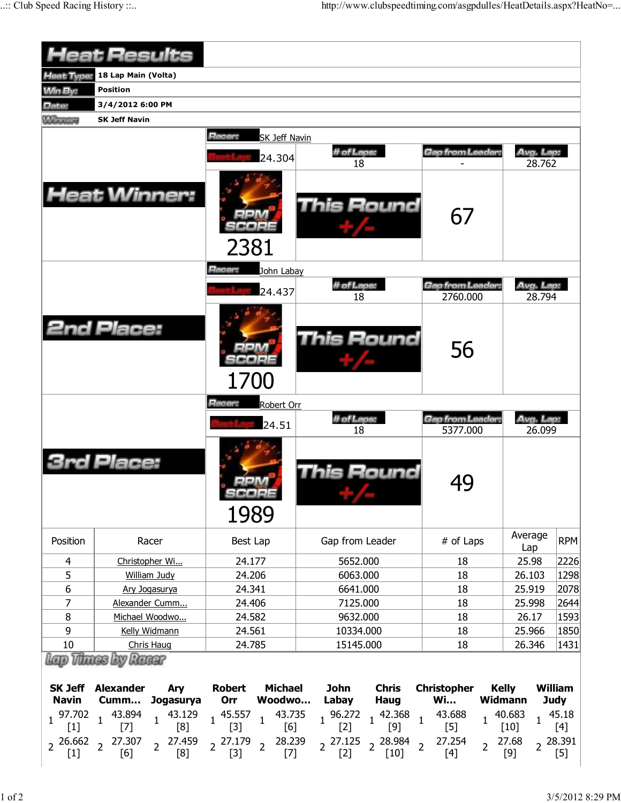|                                                                       | Heat Results                                                                                                                              |                                                                                                                                                                  |                                                                                                                                                                                   |                                                                                                                                  |                                           |                                                           |
|-----------------------------------------------------------------------|-------------------------------------------------------------------------------------------------------------------------------------------|------------------------------------------------------------------------------------------------------------------------------------------------------------------|-----------------------------------------------------------------------------------------------------------------------------------------------------------------------------------|----------------------------------------------------------------------------------------------------------------------------------|-------------------------------------------|-----------------------------------------------------------|
| Heat Type:                                                            | 18 Lap Main (Volta)                                                                                                                       |                                                                                                                                                                  |                                                                                                                                                                                   |                                                                                                                                  |                                           |                                                           |
| <b>Min By:</b>                                                        | <b>Position</b>                                                                                                                           |                                                                                                                                                                  |                                                                                                                                                                                   |                                                                                                                                  |                                           |                                                           |
| Date:                                                                 | 3/4/2012 6:00 PM                                                                                                                          |                                                                                                                                                                  |                                                                                                                                                                                   |                                                                                                                                  |                                           |                                                           |
| <b><i><u>Minimage</u></i></b>                                         | <b>SK Jeff Navin</b>                                                                                                                      |                                                                                                                                                                  |                                                                                                                                                                                   |                                                                                                                                  |                                           |                                                           |
|                                                                       |                                                                                                                                           | Racer:<br><b>SK Jeff Navin</b><br>24.304                                                                                                                         | # of Laps:<br>18                                                                                                                                                                  | Gap from Leader:                                                                                                                 | Avg. Lap:<br>28.762                       |                                                           |
|                                                                       | Heat Winner:                                                                                                                              | 2381                                                                                                                                                             | This Round                                                                                                                                                                        | 67                                                                                                                               |                                           |                                                           |
|                                                                       |                                                                                                                                           | Racer:<br>John Labay                                                                                                                                             |                                                                                                                                                                                   |                                                                                                                                  |                                           |                                                           |
|                                                                       |                                                                                                                                           | 24.437                                                                                                                                                           | # of Laps:                                                                                                                                                                        | Gap from Leader:                                                                                                                 | Avg. Lap.                                 |                                                           |
|                                                                       |                                                                                                                                           |                                                                                                                                                                  | 18                                                                                                                                                                                | 2760.000                                                                                                                         | 28.794                                    |                                                           |
|                                                                       | <b>2nd Place:</b>                                                                                                                         | 1700                                                                                                                                                             | This Round                                                                                                                                                                        | 56                                                                                                                               |                                           |                                                           |
|                                                                       |                                                                                                                                           | Racer:<br>Robert Orr                                                                                                                                             |                                                                                                                                                                                   |                                                                                                                                  |                                           |                                                           |
|                                                                       |                                                                                                                                           |                                                                                                                                                                  | # of Laps:                                                                                                                                                                        | Gap from Leader:                                                                                                                 | Avg. Lap:                                 |                                                           |
|                                                                       |                                                                                                                                           | 24.51                                                                                                                                                            | 18                                                                                                                                                                                | 5377.000                                                                                                                         | 26.099                                    |                                                           |
|                                                                       | rd Place:                                                                                                                                 | <b>September 2008 September</b>                                                                                                                                  | <b>This Round</b>                                                                                                                                                                 | 49                                                                                                                               |                                           |                                                           |
|                                                                       |                                                                                                                                           | 1989                                                                                                                                                             |                                                                                                                                                                                   |                                                                                                                                  | Average                                   |                                                           |
| Position                                                              | Racer                                                                                                                                     | Best Lap                                                                                                                                                         | Gap from Leader                                                                                                                                                                   | # of Laps                                                                                                                        | Lap                                       | RPM                                                       |
| $\overline{4}$                                                        | Christopher Wi                                                                                                                            | 24.177                                                                                                                                                           | 5652.000                                                                                                                                                                          | 18                                                                                                                               | 25.98                                     | 2226                                                      |
| 5                                                                     | <b>William Judy</b>                                                                                                                       | 24.206                                                                                                                                                           | 6063.000                                                                                                                                                                          | 18                                                                                                                               | 26.103                                    | 1298                                                      |
| 6                                                                     | Ary Jogasurya                                                                                                                             | 24.341                                                                                                                                                           | 6641.000                                                                                                                                                                          | 18                                                                                                                               | 25.919                                    | 2078                                                      |
| 7                                                                     | Alexander Cumm                                                                                                                            | 24.406                                                                                                                                                           | 7125.000                                                                                                                                                                          | 18                                                                                                                               | 25.998                                    | 2644                                                      |
| 8                                                                     | Michael Woodwo                                                                                                                            | 24.582                                                                                                                                                           | 9632.000                                                                                                                                                                          | 18                                                                                                                               | 26.17                                     | 1593                                                      |
| 9                                                                     | Kelly Widmann                                                                                                                             | 24.561                                                                                                                                                           | 10334.000                                                                                                                                                                         | 18                                                                                                                               | 25.966                                    | 1850                                                      |
| 10                                                                    | Chris Haug<br><b>Vinnes by Racer</b>                                                                                                      | 24.785                                                                                                                                                           | 15145.000                                                                                                                                                                         | 18                                                                                                                               | 26.346                                    | 1431                                                      |
| <b>SK Jeff</b><br><b>Navin</b><br>97.702 $1$<br>$\mathbf{1}$<br>$[1]$ | <b>Alexander</b><br>Ary<br>Jogasurya<br>Cumm<br>43.894<br>43.129<br>$\mathbf{1}$<br>[8]<br>$[7]$<br>2 27.459<br>$2^{26.662}$ $2^{27.307}$ | <b>Michael</b><br><b>Robert</b><br>Woodwo<br>Orr<br>43.735<br>45.557<br>$\mathbf{1}$<br>$\mathbf{1}$<br>$[3]$<br>[6]<br>$2^{27.179}$<br>28.239<br>$\overline{2}$ | <b>John</b><br><b>Chris</b><br>Labay<br><b>Haug</b><br>$1 \begin{array}{c} 96.272 \\ 52 \end{array}$ 1<br>42.368<br>$\mathbf{1}$<br>$[9]$<br>$[2]$<br>$2^{27.125}$ $2^{28.984}$ 2 | <b>Christopher</b><br><b>Kelly</b><br><b>Wi</b><br><b>Widmann</b><br>43.688<br>$\mathbf{1}$<br>$[5]$<br>27.254<br>$\overline{2}$ | 40.683<br>$\mathbf{1}$<br>$[10]$<br>27.68 | <b>William</b><br><b>Judy</b><br>45.18<br>[4]<br>2 28.391 |